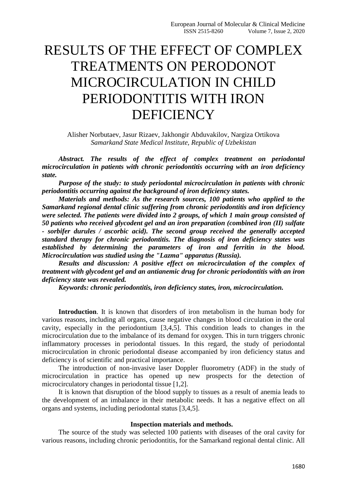# RESULTS OF THE EFFECT OF COMPLEX TREATMENTS ON PERODONOT MICROCIRCULATION IN CHILD PERIODONTITIS WITH IRON **DEFICIENCY**

Alisher Norbutaev, Jasur Rizaev, Jakhongir Abduvakilov, Nargiza Ortikova *Samarkand State Medical Institute, Republic of Uzbekistan*

*Abstract. The results of the effect of complex treatment on periodontal microcirculation in patients with chronic periodontitis occurring with an iron deficiency state.*

*Purpose of the study: to study periodontal microcirculation in patients with chronic periodontitis occurring against the background of iron deficiency states.*

*Materials and methods: As the research sources, 100 patients who applied to the Samarkand regional dental clinic suffering from chronic periodontitis and iron deficiency were selected. The patients were divided into 2 groups, of which 1 main group consisted of 50 patients who received glycodent gel and an iron preparation (combined iron (II) sulfate - sorbifer durules / ascorbic acid). The second group received the generally accepted standard therapy for chronic periodontitis. The diagnosis of iron deficiency states was established by determining the parameters of iron and ferritin in the blood. Microcirculation was studied using the "Lazma" apparatus (Russia).*

*Results and discussion: A positive effect on microcirculation of the complex of treatment with glycodent gel and an antianemic drug for chronic periodontitis with an iron deficiency state was revealed.*

*Keywords: chronic periodontitis, iron deficiency states, iron, microcirculation.*

**Introduction**. It is known that disorders of iron metabolism in the human body for various reasons, including all organs, cause negative changes in blood circulation in the oral cavity, especially in the periodontium [3,4,5]. This condition leads to changes in the microcirculation due to the imbalance of its demand for oxygen. This in turn triggers chronic inflammatory processes in periodontal tissues. In this regard, the study of periodontal microcirculation in chronic periodontal disease accompanied by iron deficiency status and deficiency is of scientific and practical importance.

The introduction of non-invasive laser Doppler fluorometry (ADF) in the study of microcirculation in practice has opened up new prospects for the detection of microcirculatory changes in periodontal tissue [1,2].

It is known that disruption of the blood supply to tissues as a result of anemia leads to the development of an imbalance in their metabolic needs. It has a negative effect on all organs and systems, including periodontal status [3,4,5].

### **Inspection materials and methods.**

The source of the study was selected 100 patients with diseases of the oral cavity for various reasons, including chronic periodontitis, for the Samarkand regional dental clinic. All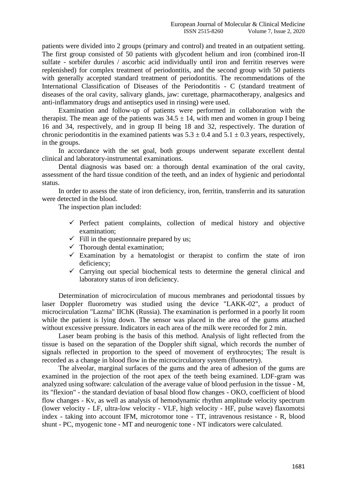patients were divided into 2 groups (primary and control) and treated in an outpatient setting. The first group consisted of 50 patients with glycodent helium and iron (combined iron-II sulfate - sorbifer durules / ascorbic acid individually until iron and ferritin reserves were replenished) for complex treatment of periodontitis, and the second group with 50 patients with generally accepted standard treatment of periodontitis. The recommendations of the International Classification of Diseases of the Periodontitis - C (standard treatment of diseases of the oral cavity, salivary glands, jaw: curettage, pharmacotherapy, analgesics and anti-inflammatory drugs and antiseptics used in rinsing) were used.

Examination and follow-up of patients were performed in collaboration with the therapist. The mean age of the patients was  $34.5 \pm 14$ , with men and women in group I being 16 and 34, respectively, and in group II being 18 and 32, respectively. The duration of chronic periodontitis in the examined patients was  $5.3 \pm 0.4$  and  $5.1 \pm 0.3$  years, respectively, in the groups.

In accordance with the set goal, both groups underwent separate excellent dental clinical and laboratory-instrumental examinations.

Dental diagnosis was based on: a thorough dental examination of the oral cavity, assessment of the hard tissue condition of the teeth, and an index of hygienic and periodontal status.

In order to assess the state of iron deficiency, iron, ferritin, transferrin and its saturation were detected in the blood.

The inspection plan included:

- $\checkmark$  Perfect patient complaints, collection of medical history and objective examination;
- $\checkmark$  Fill in the questionnaire prepared by us;
- $\checkmark$  Thorough dental examination;
- $\checkmark$  Examination by a hematologist or therapist to confirm the state of iron deficiency;
- $\checkmark$  Carrying out special biochemical tests to determine the general clinical and laboratory status of iron deficiency.

Determination of microcirculation of mucous membranes and periodontal tissues by laser Doppler fluorometry was studied using the device "LAKK-02", a product of microcirculation "Lazma" IIChK (Russia). The examination is performed in a poorly lit room while the patient is lying down. The sensor was placed in the area of the gums attached without excessive pressure. Indicators in each area of the milk were recorded for 2 min.

Laser beam probing is the basis of this method. Analysis of light reflected from the tissue is based on the separation of the Doppler shift signal, which records the number of signals reflected in proportion to the speed of movement of erythrocytes; The result is recorded as a change in blood flow in the microcirculatory system (fluometry).

The alveolar, marginal surfaces of the gums and the area of adhesion of the gums are examined in the projection of the root apex of the teeth being examined. LDF-gram was analyzed using software: calculation of the average value of blood perfusion in the tissue - M, its "flexion" - the standard deviation of basal blood flow changes - OKO, coefficient of blood flow changes - Kv, as well as analysis of hemodynamic rhythm amplitude velocity spectrum (lower velocity - LF, ultra-low velocity - VLF, high velocity - HF, pulse wave) flaxomotsi index - taking into account IFM, microtomor tone - TT, intravenous resistance - R, blood shunt - PC, myogenic tone - MT and neurogenic tone - NT indicators were calculated.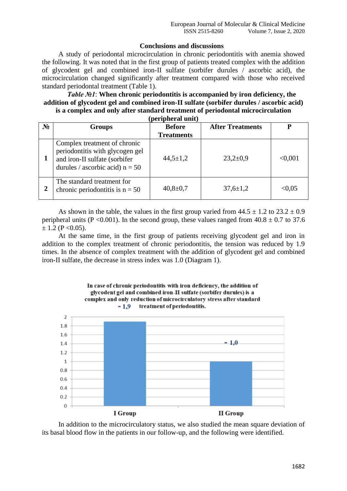# **Conclusions and discussions**

A study of periodontal microcirculation in chronic periodontitis with anemia showed the following. It was noted that in the first group of patients treated complex with the addition of glycodent gel and combined iron-II sulfate (sorbifer durules / ascorbic acid), the microcirculation changed significantly after treatment compared with those who received standard periodontal treatment (Table 1).

#### *Table №1*: **When chronic periodontitis is accompanied by iron deficiency, the addition of glycodent gel and combined iron-II sulfate (sorbifer durules / ascorbic acid) is a complex and only after standard treatment of periodontal microcirculation (peripheral unit)**

| peripheral unit) |                                                                                                                                       |                   |                         |         |  |
|------------------|---------------------------------------------------------------------------------------------------------------------------------------|-------------------|-------------------------|---------|--|
| $N_2$            | <b>Groups</b>                                                                                                                         | <b>Before</b>     | <b>After Treatments</b> | D       |  |
|                  |                                                                                                                                       | <b>Treatments</b> |                         |         |  |
|                  | Complex treatment of chronic<br>periodontitis with glycogen gel<br>and iron-II sulfate (sorbifer<br>durules / ascorbic acid) $n = 50$ | $44,5 \pm 1,2$    | $23,2{\pm}0,9$          | < 0.001 |  |
| 2                | The standard treatment for<br>chronic periodontitis is $n = 50$                                                                       | $40,8 \pm 0.7$    | $37,6 \pm 1,2$          | < 0.05  |  |

As shown in the table, the values in the first group varied from  $44.5 \pm 1.2$  to  $23.2 \pm 0.9$ peripheral units (P < 0.001). In the second group, these values ranged from  $40.8 \pm 0.7$  to 37.6  $\pm$  1.2 (P < 0.05).

At the same time, in the first group of patients receiving glycodent gel and iron in addition to the complex treatment of chronic periodontitis, the tension was reduced by 1.9 times. In the absence of complex treatment with the addition of glycodent gel and combined iron-II sulfate, the decrease in stress index was 1.0 (Diagram 1).



In addition to the microcirculatory status, we also studied the mean square deviation of its basal blood flow in the patients in our follow-up, and the following were identified.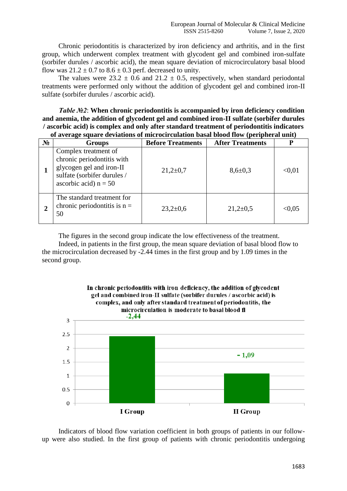Chronic periodontitis is characterized by iron deficiency and arthritis, and in the first group, which underwent complex treatment with glycodent gel and combined iron-sulfate (sorbifer durules / ascorbic acid), the mean square deviation of microcirculatory basal blood flow was  $21.2 \pm 0.7$  to  $8.6 \pm 0.3$  perf. decreased to unity.

The values were  $23.2 \pm 0.6$  and  $21.2 \pm 0.5$ , respectively, when standard periodontal treatments were performed only without the addition of glycodent gel and combined iron-II sulfate (sorbifer durules / ascorbic acid).

*Table №2*: **When chronic periodontitis is accompanied by iron deficiency condition and anemia, the addition of glycodent gel and combined iron-II sulfate (sorbifer durules / ascorbic acid) is complex and only after standard treatment of periodontitis indicators of average square deviations of microcirculation basal blood flow (peripheral unit)**

| $N_2$ | <b>Groups</b>                                                                                                                            | <b>Before Treatments</b> | <b>After Treatments</b> | P      |
|-------|------------------------------------------------------------------------------------------------------------------------------------------|--------------------------|-------------------------|--------|
|       | Complex treatment of<br>chronic periodontitis with<br>glycogen gel and iron-II<br>sulfate (sorbifer durules /<br>ascorbic acid) $n = 50$ | $21,2{\pm}0,7$           | $8,6 \pm 0,3$           | < 0.01 |
|       | The standard treatment for<br>chronic periodontitis is $n =$<br>50                                                                       | $23,2{\pm}0,6$           | $21,2{\pm}0,5$          | < 0.05 |

The figures in the second group indicate the low effectiveness of the treatment. Indeed, in patients in the first group, the mean square deviation of basal blood flow to the microcirculation decreased by -2.44 times in the first group and by 1.09 times in the second group.



Indicators of blood flow variation coefficient in both groups of patients in our followup were also studied. In the first group of patients with chronic periodontitis undergoing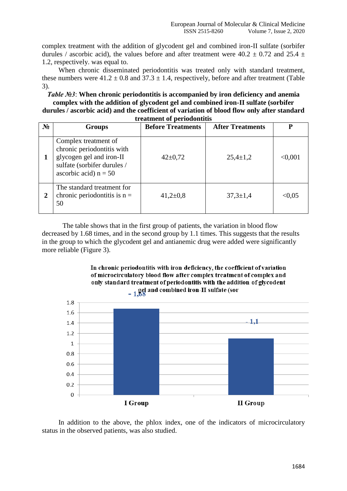complex treatment with the addition of glycodent gel and combined iron-II sulfate (sorbifer durules / ascorbic acid), the values before and after treatment were  $40.2 \pm 0.72$  and  $25.4 \pm 1.0$ 1.2, respectively. was equal to.

When chronic disseminated periodontitis was treated only with standard treatment, these numbers were  $41.2 \pm 0.8$  and  $37.3 \pm 1.4$ , respectively, before and after treatment (Table 3).

*Table №3*: **When chronic periodontitis is accompanied by iron deficiency and anemia complex with the addition of glycodent gel and combined iron-II sulfate (sorbifer durules / ascorbic acid) and the coefficient of variation of blood flow only after standard** 

| treatment of periodontitis |                                                                                                                                          |                          |                         |         |  |  |
|----------------------------|------------------------------------------------------------------------------------------------------------------------------------------|--------------------------|-------------------------|---------|--|--|
| $N_2$                      | <b>Groups</b>                                                                                                                            | <b>Before Treatments</b> | <b>After Treatments</b> | P       |  |  |
|                            | Complex treatment of<br>chronic periodontitis with<br>glycogen gel and iron-II<br>sulfate (sorbifer durules /<br>ascorbic acid) $n = 50$ | $42 \pm 0.72$            | $25,4 \pm 1,2$          | < 0.001 |  |  |
| 2                          | The standard treatment for<br>chronic periodontitis is $n =$<br>50                                                                       | $41,2{\pm}0,8$           | $37,3 \pm 1,4$          | < 0.05  |  |  |

The table shows that in the first group of patients, the variation in blood flow decreased by 1.68 times, and in the second group by 1.1 times. This suggests that the results in the group to which the glycodent gel and antianemic drug were added were significantly more reliable (Figure 3).

# In chronic periodontitis with iron deficiency, the coefficient of variation of microcirculatory blood flow after complex treatment of complex and only standard treatment of periodontitis with the addition of glycodent ed and combined iron-II sulfate (sor



In addition to the above, the phlox index, one of the indicators of microcirculatory status in the observed patients, was also studied.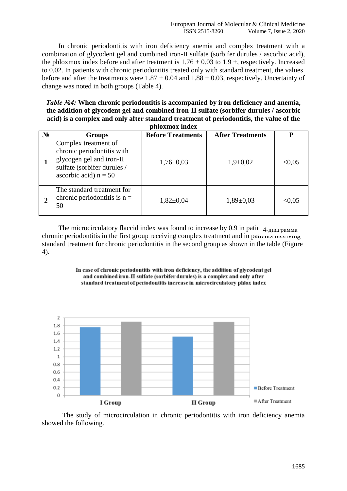In chronic periodontitis with iron deficiency anemia and complex treatment with a combination of glycodent gel and combined iron-II sulfate (sorbifer durules / ascorbic acid), the phloxmox index before and after treatment is  $1.76 \pm 0.03$  to  $1.9 \pm$ , respectively. Increased to 0.02. In patients with chronic periodontitis treated only with standard treatment, the values before and after the treatments were  $1.87 \pm 0.04$  and  $1.88 \pm 0.03$ , respectively. Uncertainty of change was noted in both groups (Table 4).

*Table №4:* **When chronic periodontitis is accompanied by iron deficiency and anemia, the addition of glycodent gel and combined iron-II sulfate (sorbifer durules / ascorbic acid) is a complex and only after standard treatment of periodontitis, the value of the phloxmox index**

| ршохшох шаех   |                                                                                                                                          |                          |                         |        |  |
|----------------|------------------------------------------------------------------------------------------------------------------------------------------|--------------------------|-------------------------|--------|--|
| $N_2$          | Groups                                                                                                                                   | <b>Before Treatments</b> | <b>After Treatments</b> | P      |  |
|                | Complex treatment of<br>chronic periodontitis with<br>glycogen gel and iron-II<br>sulfate (sorbifer durules /<br>ascorbic acid) $n = 50$ | $1,76 \pm 0.03$          | $1,9+0,02$              | < 0.05 |  |
| $\overline{2}$ | The standard treatment for<br>chronic periodontitis is $n =$<br>50                                                                       | $1,82\pm0.04$            | $1,89\pm0.03$           | < 0.05 |  |

The microcirculatory flaccid index was found to increase by 0.9 in patie $_{4\text{-} \text{A}$   $_{\text{A}}\text{A}$ chronic periodontitis in the first group receiving complex treatment and in patients receiving standard treatment for chronic periodontitis in the second group as shown in the table (Figure 4).





The study of microcirculation in chronic periodontitis with iron deficiency anemia showed the following.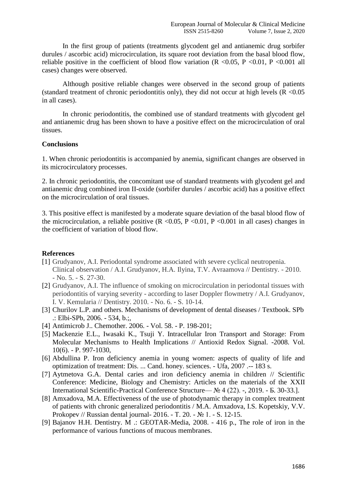In the first group of patients (treatments glycodent gel and antianemic drug sorbifer durules / ascorbic acid) microcirculation, its square root deviation from the basal blood flow, reliable positive in the coefficient of blood flow variation ( $R < 0.05$ ,  $P < 0.01$ ,  $P < 0.001$  all cases) changes were observed.

Although positive reliable changes were observed in the second group of patients (standard treatment of chronic periodontitis only), they did not occur at high levels ( $R$  <0.05 in all cases).

In chronic periodontitis, the combined use of standard treatments with glycodent gel and antianemic drug has been shown to have a positive effect on the microcirculation of oral tissues.

#### **Conclusions**

1. When chronic periodontitis is accompanied by anemia, significant changes are observed in its microcirculatory processes.

2. In chronic periodontitis, the concomitant use of standard treatments with glycodent gel and antianemic drug combined iron II-oxide (sorbifer durules / ascorbic acid) has a positive effect on the microcirculation of oral tissues.

3. This positive effect is manifested by a moderate square deviation of the basal blood flow of the microcirculation, a reliable positive  $(R \le 0.05, P \le 0.01, P \le 0.001$  in all cases) changes in the coefficient of variation of blood flow.

## **References**

- [1] Grudyanov, A.I. Periodontal syndrome associated with severe cyclical neutropenia. Clinical observation / A.I. Grudyanov, H.A. Ilyina, T.V. Avraamova // Dentistry. - 2010. - No. 5. - S. 27-30.
- [2] Grudyanov, A.I. The influence of smoking on microcirculation in periodontal tissues with periodontitis of varying severity - according to laser Doppler flowmetry / A.I. Grudyanov, I. V. Kemularia // Dentistry. 2010. - No. 6. - S. 10-14.
- [3] Churilov L.P. and others. Mechanisms of development of dental diseases / Textbook. SPb .: Elbi-SPb, 2006. - 534, b.;,
- [4] Antimicrob J.. Chemother. 2006. Vol. 58. P. 198-201;
- [5] Mackenzie E.L., Iwasaki K., Tsuji Y. Intracellular Iron Transport and Storage: From Molecular Mechanisms to Health Implications // Antioxid Redox Signal. -2008. Vol. 10(6). - P. 997-1030,
- [6] Abdullina P. Iron deficiency anemia in young women: aspects of quality of life and optimization of treatment: Dis. ... Cand. honey. sciences. - Ufa, 2007 .-- 183 s.
- [7] Aytmetova G.A. Dental caries and iron deficiency anemia in children // Scientific Conference: Medicine, Biology and Chemistry: Articles on the materials of the XXII International Scientific-Practical Conference Structure— № 4 (22). -, 2019. - Б. 30-33.].
- [8] Amxadova, M.A. Effectiveness of the use of photodynamic therapy in complex treatment of patients with chronic generalized periodontitis / M.A. Amxadova, I.S. Kopetskiy, V.V. Prokopev // Russian dental journal- 2016. - Т. 20. - № 1. - S. 12-15.
- [9] Bajanov H.H. Dentistry. M .: GEOTAR-Media, 2008. 416 p., The role of iron in the performance of various functions of mucous membranes.